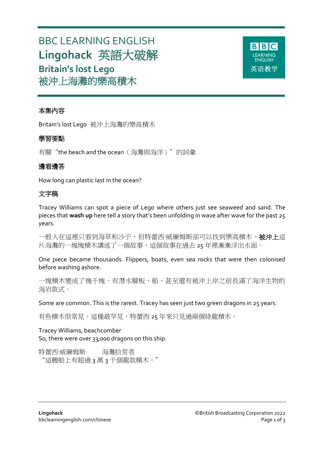# BBC LEARNING ENGLISH **Lingohack** 英語大破解 **Britain's lost Lego** 被沖上海灘的樂高積木



# 本集內容

Britain's lost Lego 被沖上海灘的樂高積木

# 學習要點

有關"the beach and the ocean (海灘與海洋)"的詞彙

# 邊看邊答

How long can plastic last in the ocean?

# 文字稿

Tracey Williams can spot a piece of Lego where others just see seaweed and sand. The pieces that **wash up** here tell a story that's been unfolding in wave after wave for the past 25 years.

一般人在這裡只看到海草和沙子,但特蕾西·威廉姆斯卻可以找到樂高積木。**被沖上**這 片海灘的一塊塊積木講述了一個故事,這個故事在過去 25 年裡漸漸浮出水面。

One piece became thousands. Flippers, boats, even sea rocks that were then colonised before washing ashore.

一塊積木變成了幾千塊。有潛水腳板、船,甚至還有被沖上岸之前長滿了海洋生物的 海岩款式。

Some are common. This is the rarest. Tracey has seen just two green dragons in 25 years.

有些積木很常見。這種最罕見。特蕾西 25 年來只見過兩個綠龍積木。

Tracey Williams, beachcomber So, there were over 33,000 dragons on this ship.

特蕾西·威廉姆斯 海灘拾荒者 "這艘船上有超過 3 萬 3 千個龍款積木。"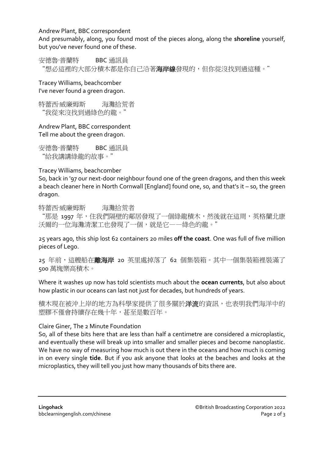Andrew Plant, BBC correspondent

And presumably, along, you found most of the pieces along, along the **shoreline** yourself, but you've never found one of these.

安德魯·普蘭特 BBC 通訊員 "想必這裡的大部分積木都是你自己沿著**海岸線**發現的,但你從沒找到過這種。"

Tracey Williams, beachcomber I've never found a green dragon.

特蕾西·威廉姆斯 海灘拾荒者 "我從來沒找到過綠色的龍。"

Andrew Plant, BBC correspondent Tell me about the green dragon.

安德魯·普蘭特 BBC 通訊員 "給我講講綠龍的故事。"

Tracey Williams, beachcomber

So, back in '97 our next-door neighbour found one of the green dragons, and then this week a beach cleaner here in North Cornwall [England] found one, so, and that's it – so, the green dragon.

特蕾西·威廉姆斯 海灘拾荒者

"那是 1997 年,住我們隔壁的鄰居發現了一個綠龍積木,然後就在這周,英格蘭北康 沃爾的一位海灘清潔工也發現了一個,就是它——綠色的龍。"

25 years ago, this ship lost 62 containers 20 miles **off the coast**. One was full of five million pieces of Lego.

25 年前,這艘船在離海岸 20 英里處掉落了 62 個集裝箱。其中一個集裝箱裡裝滿了 500 萬塊樂高積木。

Where it washes up now has told scientists much about the **ocean currents**, but also about how plastic in our oceans can last not just for decades, but hundreds of years.

積木現在被沖上岸的地方為科學家提供了很多關於洋流的資訊,也表明我們海洋中的 塑膠不僅會持續存在幾十年,甚至是數百年。

## Claire Giner, The 2 Minute Foundation

So, all of these bits here that are less than half a centimetre are considered a microplastic, and eventually these will break up into smaller and smaller pieces and become nanoplastic. We have no way of measuring how much is out there in the oceans and how much is coming in on every single **tide**. But if you ask anyone that looks at the beaches and looks at the microplastics, they will tell you just how many thousands of bits there are.